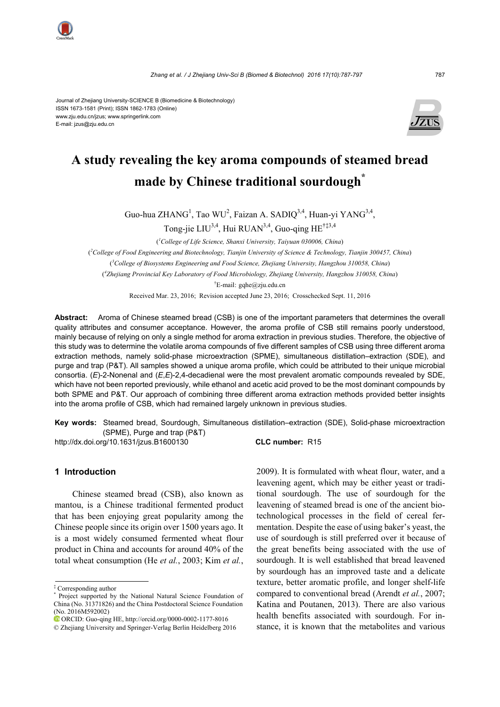



# **A study revealing the key aroma compounds of steamed bread made by Chinese traditional sourdough\***

Guo-hua ZHANG<sup>1</sup>, Tao WU<sup>2</sup>, Faizan A. SADIQ<sup>3,4</sup>, Huan-yi YANG<sup>3,4</sup>, Tong-jie LIU<sup>3,4</sup>, Hui RUAN<sup>3,4</sup>, Guo-qing HE<sup>†‡3,4</sup>

( *1 College of Life Science, Shanxi University, Taiyuan 030006, China*)

( *2 College of Food Engineering and Biotechnology, Tianjin University of Science & Technology, Tianjin 300457, China*) ( *3 College of Biosystems Engineering and Food Science, Zhejiang University, Hangzhou 310058, China*) ( *4 Zhejiang Provincial Key Laboratory of Food Microbiology, Zhejiang University, Hangzhou 310058, China*) † E-mail: gqhe@zju.edu.cn

Received Mar. 23, 2016; Revision accepted June 23, 2016; Crosschecked Sept. 11, 2016

**Abstract:** Aroma of Chinese steamed bread (CSB) is one of the important parameters that determines the overall quality attributes and consumer acceptance. However, the aroma profile of CSB still remains poorly understood, mainly because of relying on only a single method for aroma extraction in previous studies. Therefore, the objective of this study was to determine the volatile aroma compounds of five different samples of CSB using three different aroma extraction methods, namely solid-phase microextraction (SPME), simultaneous distillation–extraction (SDE), and purge and trap (P&T). All samples showed a unique aroma profile, which could be attributed to their unique microbial consortia. (*E*)-2-Nonenal and (*E*,*E*)-2,4-decadienal were the most prevalent aromatic compounds revealed by SDE, which have not been reported previously, while ethanol and acetic acid proved to be the most dominant compounds by both SPME and P&T. Our approach of combining three different aroma extraction methods provided better insights into the aroma profile of CSB, which had remained largely unknown in previous studies.

**Key words:** Steamed bread, Sourdough, Simultaneous distillation–extraction (SDE), Solid-phase microextraction (SPME), Purge and trap (P&T) http://dx.doi.org/10.1631/jzus.B1600130 **CLC number:** R15

# **1 Introduction**

Chinese steamed bread (CSB), also known as mantou, is a Chinese traditional fermented product that has been enjoying great popularity among the Chinese people since its origin over 1500 years ago. It is a most widely consumed fermented wheat flour product in China and accounts for around 40% of the total wheat consumption (He *et al.*, 2003; Kim *et al.*,

2009). It is formulated with wheat flour, water, and a leavening agent, which may be either yeast or traditional sourdough. The use of sourdough for the leavening of steamed bread is one of the ancient biotechnological processes in the field of cereal fermentation. Despite the ease of using baker's yeast, the use of sourdough is still preferred over it because of the great benefits being associated with the use of sourdough. It is well established that bread leavened by sourdough has an improved taste and a delicate texture, better aromatic profile, and longer shelf-life compared to conventional bread (Arendt *et al.*, 2007; Katina and Poutanen, 2013). There are also various health benefits associated with sourdough. For instance, it is known that the metabolites and various

<sup>‡</sup> Corresponding author

<sup>\*</sup> Project supported by the National Natural Science Foundation of China (No. 31371826) and the China Postdoctoral Science Foundation (No. 2016M592002)

ORCID: Guo-qing HE, http://orcid.org/0000-0002-1177-8016

<sup>©</sup> Zhejiang University and Springer-Verlag Berlin Heidelberg 2016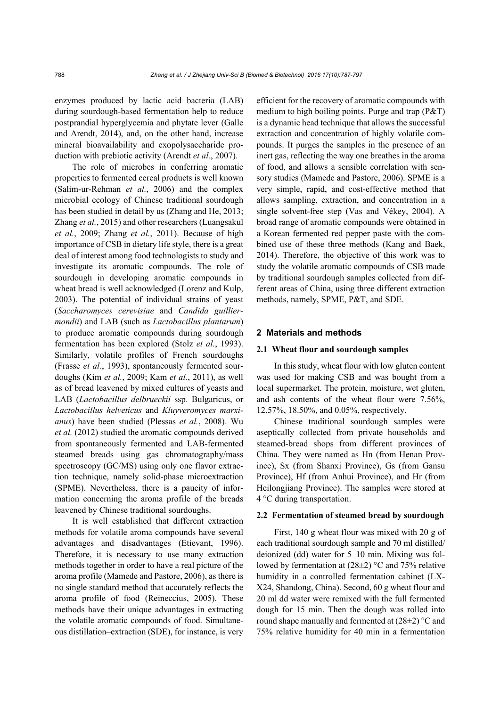enzymes produced by lactic acid bacteria (LAB) during sourdough-based fermentation help to reduce postprandial hyperglycemia and phytate lever (Galle and Arendt, 2014), and, on the other hand, increase mineral bioavailability and exopolysaccharide production with prebiotic activity (Arendt *et al.*, 2007).

The role of microbes in conferring aromatic properties to fermented cereal products is well known (Salim-ur-Rehman *et al.*, 2006) and the complex microbial ecology of Chinese traditional sourdough has been studied in detail by us (Zhang and He, 2013; Zhang *et al.*, 2015) and other researchers (Luangsakul *et al.*, 2009; Zhang *et al.*, 2011). Because of high importance of CSB in dietary life style, there is a great deal of interest among food technologists to study and investigate its aromatic compounds. The role of sourdough in developing aromatic compounds in wheat bread is well acknowledged (Lorenz and Kulp, 2003). The potential of individual strains of yeast (*Saccharomyces cerevisiae* and *Candida guilliermondii*) and LAB (such as *Lactobacillus plantarum*) to produce aromatic compounds during sourdough fermentation has been explored (Stolz *et al.*, 1993). Similarly, volatile profiles of French sourdoughs (Frasse *et al.*, 1993), spontaneously fermented sourdoughs (Kim *et al.*, 2009; Kam *et al.*, 2011), as well as of bread leavened by mixed cultures of yeasts and LAB (*Lactobacillus delbrueckii* ssp. Bulgaricus, or *Lactobacillus helveticus* and *Kluyveromyces marxianus*) have been studied (Plessas *et al.*, 2008). Wu *et al.* (2012) studied the aromatic compounds derived from spontaneously fermented and LAB-fermented steamed breads using gas chromatography/mass spectroscopy (GC/MS) using only one flavor extraction technique, namely solid-phase microextraction (SPME). Nevertheless, there is a paucity of information concerning the aroma profile of the breads leavened by Chinese traditional sourdoughs.

It is well established that different extraction methods for volatile aroma compounds have several advantages and disadvantages (Etievant, 1996). Therefore, it is necessary to use many extraction methods together in order to have a real picture of the aroma profile (Mamede and Pastore, 2006), as there is no single standard method that accurately reflects the aroma profile of food (Reineccius, 2005). These methods have their unique advantages in extracting the volatile aromatic compounds of food. Simultaneous distillation–extraction (SDE), for instance, is very

efficient for the recovery of aromatic compounds with medium to high boiling points. Purge and trap (P&T) is a dynamic head technique that allows the successful extraction and concentration of highly volatile compounds. It purges the samples in the presence of an inert gas, reflecting the way one breathes in the aroma of food, and allows a sensible correlation with sensory studies (Mamede and Pastore, 2006). SPME is a very simple, rapid, and cost-effective method that allows sampling, extraction, and concentration in a single solvent-free step (Vas and Vékey, 2004). A broad range of aromatic compounds were obtained in a Korean fermented red pepper paste with the combined use of these three methods (Kang and Baek, 2014). Therefore, the objective of this work was to study the volatile aromatic compounds of CSB made by traditional sourdough samples collected from different areas of China, using three different extraction methods, namely, SPME, P&T, and SDE.

# **2 Materials and methods**

## **2.1 Wheat flour and sourdough samples**

In this study, wheat flour with low gluten content was used for making CSB and was bought from a local supermarket. The protein, moisture, wet gluten, and ash contents of the wheat flour were 7.56%, 12.57%, 18.50%, and 0.05%, respectively.

Chinese traditional sourdough samples were aseptically collected from private households and steamed-bread shops from different provinces of China. They were named as Hn (from Henan Province), Sx (from Shanxi Province), Gs (from Gansu Province), Hf (from Anhui Province), and Hr (from Heilongjiang Province). The samples were stored at 4 °C during transportation.

# **2.2 Fermentation of steamed bread by sourdough**

First, 140 g wheat flour was mixed with 20 g of each traditional sourdough sample and 70 ml distilled/ deionized (dd) water for 5–10 min. Mixing was followed by fermentation at (28±2) °C and 75% relative humidity in a controlled fermentation cabinet (LX-X24, Shandong, China). Second, 60 g wheat flour and 20 ml dd water were remixed with the full fermented dough for 15 min. Then the dough was rolled into round shape manually and fermented at  $(28\pm2)$  °C and 75% relative humidity for 40 min in a fermentation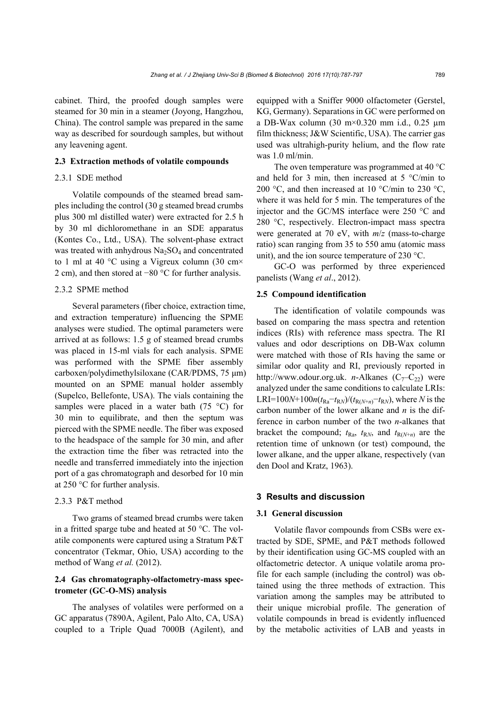cabinet. Third, the proofed dough samples were steamed for 30 min in a steamer (Joyong, Hangzhou, China). The control sample was prepared in the same way as described for sourdough samples, but without any leavening agent.

# **2.3 Extraction methods of volatile compounds**

# 2.3.1 SDE method

Volatile compounds of the steamed bread samples including the control (30 g steamed bread crumbs plus 300 ml distilled water) were extracted for 2.5 h by 30 ml dichloromethane in an SDE apparatus (Kontes Co., Ltd., USA). The solvent-phase extract was treated with anhydrous  $Na<sub>2</sub>SO<sub>4</sub>$  and concentrated to 1 ml at 40 °C using a Vigreux column (30 cm $\times$ 2 cm), and then stored at −80 °C for further analysis.

#### 2.3.2 SPME method

Several parameters (fiber choice, extraction time, and extraction temperature) influencing the SPME analyses were studied. The optimal parameters were arrived at as follows: 1.5 g of steamed bread crumbs was placed in 15-ml vials for each analysis. SPME was performed with the SPME fiber assembly carboxen/polydimethylsiloxane (CAR/PDMS, 75 μm) mounted on an SPME manual holder assembly (Supelco, Bellefonte, USA). The vials containing the samples were placed in a water bath  $(75 \text{ °C})$  for 30 min to equilibrate, and then the septum was pierced with the SPME needle. The fiber was exposed to the headspace of the sample for 30 min, and after the extraction time the fiber was retracted into the needle and transferred immediately into the injection port of a gas chromatograph and desorbed for 10 min at 250 °C for further analysis.

# 2.3.3 P&T method

Two grams of steamed bread crumbs were taken in a fritted sparge tube and heated at 50 °C. The volatile components were captured using a Stratum P&T concentrator (Tekmar, Ohio, USA) according to the method of Wang *et al.* (2012).

# **2.4 Gas chromatography-olfactometry-mass spectrometer (GC-O-MS) analysis**

The analyses of volatiles were performed on a GC apparatus (7890A, Agilent, Palo Alto, CA, USA) coupled to a Triple Quad 7000B (Agilent), and equipped with a Sniffer 9000 olfactometer (Gerstel, KG, Germany). Separations in GC were performed on a DB-Wax column (30 m $\times$ 0.320 mm i.d., 0.25 µm film thickness; J&W Scientific, USA). The carrier gas used was ultrahigh-purity helium, and the flow rate was 1.0 ml/min.

The oven temperature was programmed at 40 °C and held for 3 min, then increased at 5  $\degree$ C/min to 200 °C, and then increased at 10 °C/min to 230 °C, where it was held for 5 min. The temperatures of the injector and the GC/MS interface were 250 °C and 280 °C, respectively. Electron-impact mass spectra were generated at 70 eV, with *m*/*z* (mass-to-charge ratio) scan ranging from 35 to 550 amu (atomic mass unit), and the ion source temperature of 230 °C.

GC-O was performed by three experienced panelists (Wang *et al*., 2012).

## **2.5 Compound identification**

The identification of volatile compounds was based on comparing the mass spectra and retention indices (RIs) with reference mass spectra. The RI values and odor descriptions on DB-Wax column were matched with those of RIs having the same or similar odor quality and RI, previously reported in http://www.odour.org.uk. *n*-Alkanes  $(C_7-C_{22})$  were analyzed under the same conditions to calculate LRIs: LRI=100*N*+100*n*( $t_{\text{Ra}}$ − $t_{\text{RN}}$ )/( $t_{\text{R}(N+n)}$ − $t_{\text{RN}}$ ), where *N* is the carbon number of the lower alkane and *n* is the difference in carbon number of the two *n*-alkanes that bracket the compound;  $t_{\text{Ra}}$ ,  $t_{\text{R}N}$ , and  $t_{\text{R}(N+n)}$  are the retention time of unknown (or test) compound, the lower alkane, and the upper alkane, respectively (van den Dool and Kratz, 1963).

#### **3 Results and discussion**

#### **3.1 General discussion**

Volatile flavor compounds from CSBs were extracted by SDE, SPME, and P&T methods followed by their identification using GC-MS coupled with an olfactometric detector. A unique volatile aroma profile for each sample (including the control) was obtained using the three methods of extraction. This variation among the samples may be attributed to their unique microbial profile. The generation of volatile compounds in bread is evidently influenced by the metabolic activities of LAB and yeasts in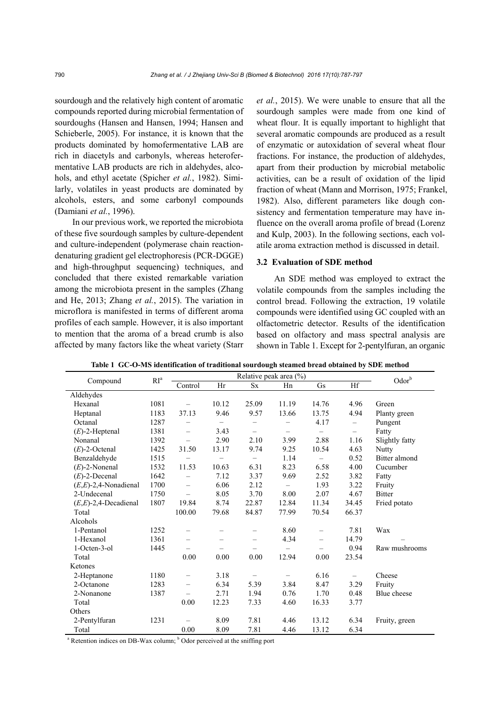sourdough and the relatively high content of aromatic compounds reported during microbial fermentation of sourdoughs (Hansen and Hansen, 1994; Hansen and Schieberle, 2005). For instance, it is known that the products dominated by homofermentative LAB are rich in diacetyls and carbonyls, whereas heterofermentative LAB products are rich in aldehydes, alcohols, and ethyl acetate (Spicher *et al.*, 1982). Similarly, volatiles in yeast products are dominated by alcohols, esters, and some carbonyl compounds (Damiani *et al.*, 1996).

In our previous work, we reported the microbiota of these five sourdough samples by culture-dependent and culture-independent (polymerase chain reactiondenaturing gradient gel electrophoresis (PCR-DGGE) and high-throughput sequencing) techniques, and concluded that there existed remarkable variation among the microbiota present in the samples (Zhang and He, 2013; Zhang *et al.*, 2015). The variation in microflora is manifested in terms of different aroma profiles of each sample. However, it is also important to mention that the aroma of a bread crumb is also affected by many factors like the wheat variety (Starr *et al.*, 2015). We were unable to ensure that all the sourdough samples were made from one kind of wheat flour. It is equally important to highlight that several aromatic compounds are produced as a result of enzymatic or autoxidation of several wheat flour fractions. For instance, the production of aldehydes, apart from their production by microbial metabolic activities, can be a result of oxidation of the lipid fraction of wheat (Mann and Morrison, 1975; Frankel, 1982). Also, different parameters like dough consistency and fermentation temperature may have influence on the overall aroma profile of bread (Lorenz and Kulp, 2003). In the following sections, each volatile aroma extraction method is discussed in detail.

# **3.2 Evaluation of SDE method**

An SDE method was employed to extract the volatile compounds from the samples including the control bread. Following the extraction, 19 volatile compounds were identified using GC coupled with an olfactometric detector. Results of the identification based on olfactory and mass spectral analysis are shown in Table 1. Except for 2-pentylfuran, an organic

|                         | RI <sup>a</sup> |                                  | Odor <sup>b</sup>        |                          |                          |                          |                          |                |
|-------------------------|-----------------|----------------------------------|--------------------------|--------------------------|--------------------------|--------------------------|--------------------------|----------------|
| Compound                |                 | Control                          | Hr                       | <b>Sx</b>                | Hn                       | Gs                       | Hf                       |                |
| Aldehydes               |                 |                                  |                          |                          |                          |                          |                          |                |
| Hexanal                 | 1081            | $\overline{\phantom{m}}$         | 10.12                    | 25.09                    | 11.19                    | 14.76                    | 4.96                     | Green          |
| Heptanal                | 1183            | 37.13                            | 9.46                     | 9.57                     | 13.66                    | 13.75                    | 4.94                     | Planty green   |
| Octanal                 | 1287            |                                  |                          |                          |                          | 4.17                     | $\overline{\phantom{0}}$ | Pungent        |
| $(E)$ -2-Heptenal       | 1381            |                                  | 3.43                     | $\overline{\phantom{0}}$ |                          | $\qquad \qquad -$        |                          | Fatty          |
| Nonanal                 | 1392            | $\qquad \qquad -$                | 2.90                     | 2.10                     | 3.99                     | 2.88                     | 1.16                     | Slightly fatty |
| $(E)$ -2-Octenal        | 1425            | 31.50                            | 13.17                    | 9.74                     | 9.25                     | 10.54                    | 4.63                     | <b>Nutty</b>   |
| Benzaldehyde            | 1515            |                                  |                          |                          | 1.14                     |                          | 0.52                     | Bitter almond  |
| $(E)$ -2-Nonenal        | 1532            | 11.53                            | 10.63                    | 6.31                     | 8.23                     | 6.58                     | 4.00                     | Cucumber       |
| $(E)$ -2-Decenal        | 1642            | $\qquad \qquad -$                | 7.12                     | 3.37                     | 9.69                     | 2.52                     | 3.82                     | Fatty          |
| $(E,E)$ -2,4-Nonadienal | 1700            | $\overline{\phantom{0}}$         | 6.06                     | 2.12                     | $\overline{\phantom{0}}$ | 1.93                     | 3.22                     | Fruity         |
| 2-Undecenal             | 1750            | $\overline{\phantom{0}}$         | 8.05                     | 3.70                     | 8.00                     | 2.07                     | 4.67                     | <b>Bitter</b>  |
| $(E,E)$ -2,4-Decadienal | 1807            | 19.84                            | 8.74                     | 22.87                    | 12.84                    | 11.34                    | 34.45                    | Fried potato   |
| Total                   |                 | 100.00                           | 79.68                    | 84.87                    | 77.99                    | 70.54                    | 66.37                    |                |
| Alcohols                |                 |                                  |                          |                          |                          |                          |                          |                |
| 1-Pentanol              | 1252            | $\overline{\phantom{0}}$         | $\overline{\phantom{0}}$ |                          | 8.60                     |                          | 7.81                     | Wax            |
| 1-Hexanol               | 1361            |                                  | $\overline{\phantom{0}}$ |                          | 4.34                     | $\overline{\phantom{0}}$ | 14.79                    |                |
| 1-Octen-3-ol            | 1445            |                                  |                          |                          | $\overline{\phantom{0}}$ |                          | 0.94                     | Raw mushrooms  |
| Total                   |                 | 0.00                             | 0.00                     | 0.00                     | 12.94                    | 0.00                     | 23.54                    |                |
| Ketones                 |                 |                                  |                          |                          |                          |                          |                          |                |
| 2-Heptanone             | 1180            | $\overbrace{\phantom{12322111}}$ | 3.18                     | $\overline{\phantom{0}}$ |                          | 6.16                     | $\overline{\phantom{0}}$ | Cheese         |
| 2-Octanone              | 1283            | $\overline{\phantom{0}}$         | 6.34                     | 5.39                     | 3.84                     | 8.47                     | 3.29                     | Fruity         |
| 2-Nonanone              | 1387            |                                  | 2.71                     | 1.94                     | 0.76                     | 1.70                     | 0.48                     | Blue cheese    |
| Total                   |                 | 0.00                             | 12.23                    | 7.33                     | 4.60                     | 16.33                    | 3.77                     |                |
| Others                  |                 |                                  |                          |                          |                          |                          |                          |                |
| 2-Pentylfuran           | 1231            |                                  | 8.09                     | 7.81                     | 4.46                     | 13.12                    | 6.34                     | Fruity, green  |
| Total                   |                 | 0.00                             | 8.09                     | 7.81                     | 4.46                     | 13.12                    | 6.34                     |                |

**Table 1 GC-O-MS identification of traditional sourdough steamed bread obtained by SDE method** 

<sup>a</sup> Retention indices on DB-Wax column; <sup>b</sup> Odor perceived at the sniffing port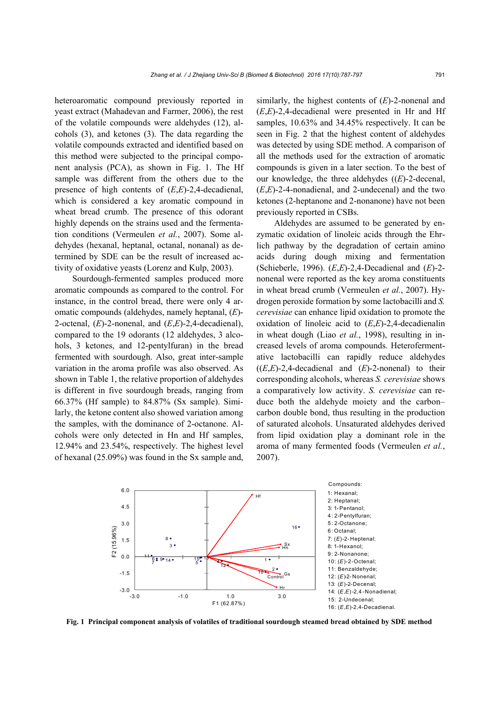heteroaromatic compound previously reported in yeast extract (Mahadevan and Farmer, 2006), the rest of the volatile compounds were aldehydes (12), alcohols (3), and ketones (3). The data regarding the volatile compounds extracted and identified based on this method were subjected to the principal component analysis (PCA), as shown in Fig. 1. The Hf sample was different from the others due to the presence of high contents of (*E*,*E*)-2,4-decadienal, which is considered a key aromatic compound in wheat bread crumb. The presence of this odorant highly depends on the strains used and the fermentation conditions (Vermeulen *et al.*, 2007). Some aldehydes (hexanal, heptanal, octanal, nonanal) as determined by SDE can be the result of increased activity of oxidative yeasts (Lorenz and Kulp, 2003).

Sourdough-fermented samples produced more aromatic compounds as compared to the control. For instance, in the control bread, there were only 4 aromatic compounds (aldehydes, namely heptanal, (*E*)- 2-octenal, (*E*)-2-nonenal, and (*E*,*E*)-2,4-decadienal), compared to the 19 odorants (12 aldehydes, 3 alcohols, 3 ketones, and 12-pentylfuran) in the bread fermented with sourdough. Also, great inter-sample variation in the aroma profile was also observed. As shown in Table 1, the relative proportion of aldehydes is different in five sourdough breads, ranging from 66.37% (Hf sample) to 84.87% (Sx sample). Similarly, the ketone content also showed variation among the samples, with the dominance of 2-octanone. Alcohols were only detected in Hn and Hf samples, 12.94% and 23.54%, respectively. The highest level of hexanal (25.09%) was found in the Sx sample and,

similarly, the highest contents of (*E*)-2-nonenal and (*E*,*E*)-2,4-decadienal were presented in Hr and Hf samples, 10.63% and 34.45% respectively. It can be seen in Fig. 2 that the highest content of aldehydes was detected by using SDE method. A comparison of all the methods used for the extraction of aromatic compounds is given in a later section. To the best of our knowledge, the three aldehydes ((*E*)-2-decenal, (*E*,*E*)-2-4-nonadienal, and 2-undecenal) and the two ketones (2-heptanone and 2-nonanone) have not been previously reported in CSBs.

Aldehydes are assumed to be generated by enzymatic oxidation of linoleic acids through the Ehrlich pathway by the degradation of certain amino acids during dough mixing and fermentation (Schieberle, 1996). (*E*,*E*)-2,4-Decadienal and (*E*)-2 nonenal were reported as the key aroma constituents in wheat bread crumb (Vermeulen *et al.*, 2007). Hydrogen peroxide formation by some lactobacilli and *S. cerevisiae* can enhance lipid oxidation to promote the oxidation of linoleic acid to (*E*,*E*)-2,4-decadienalin in wheat dough (Liao *et al.*, 1998), resulting in increased levels of aroma compounds. Heterofermentative lactobacilli can rapidly reduce aldehydes  $((E,E)-2,4-decadi)$  and  $(E)-2$ -nonenal) to their corresponding alcohols, whereas *S. cerevisiae* shows a comparatively low activity. *S. cerevisiae* can reduce both the aldehyde moiety and the carbon– carbon double bond, thus resulting in the production of saturated alcohols. Unsaturated aldehydes derived from lipid oxidation play a dominant role in the aroma of many fermented foods (Vermeulen *et al.*, 2007).

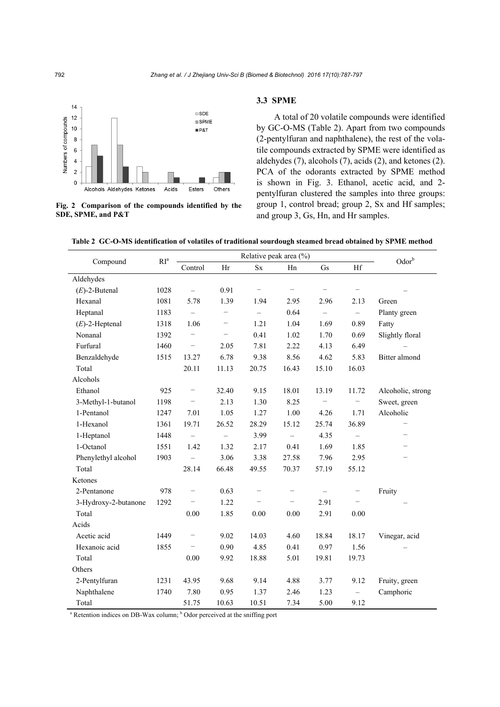

**Fig. 2 Comparison of the compounds identified by the SDE, SPME, and P&T** 

# **3.3 SPME**

A total of 20 volatile compounds were identified by GC-O-MS (Table 2). Apart from two compounds (2-pentylfuran and naphthalene), the rest of the volatile compounds extracted by SPME were identified as aldehydes (7), alcohols (7), acids (2), and ketones (2). PCA of the odorants extracted by SPME method is shown in Fig. 3. Ethanol, acetic acid, and 2 pentylfuran clustered the samples into three groups: group 1, control bread; group 2, Sx and Hf samples; and group 3, Gs, Hn, and Hr samples.

| Table 2 GC-O-MS identification of volatiles of traditional sourdough steamed bread obtained by SPME method |
|------------------------------------------------------------------------------------------------------------|
|------------------------------------------------------------------------------------------------------------|

| Compound             | RI <sup>a</sup> |                          |                          |                          |                          |                          |                          |                   |  |
|----------------------|-----------------|--------------------------|--------------------------|--------------------------|--------------------------|--------------------------|--------------------------|-------------------|--|
|                      |                 | Control                  | Hr                       | $\mathbf{S}\mathbf{x}$   | Hn                       | Gs                       | Hf                       | $Odor^b$          |  |
| Aldehydes            |                 |                          |                          |                          |                          |                          |                          |                   |  |
| $(E)$ -2-Butenal     | 1028            | $\overline{\phantom{0}}$ | 0.91                     | $\overline{\phantom{0}}$ | $\overline{\phantom{0}}$ | $\qquad \qquad -$        | -                        |                   |  |
| Hexanal              | 1081            | 5.78                     | 1.39                     | 1.94                     | 2.95                     | 2.96                     | 2.13                     | Green             |  |
| Heptanal             | 1183            | $\qquad \qquad -$        | $\qquad \qquad -$        | $\equiv$                 | 0.64                     | $\overline{\phantom{0}}$ | $\overline{\phantom{0}}$ | Planty green      |  |
| $(E)$ -2-Heptenal    | 1318            | 1.06                     | -                        | 1.21                     | 1.04                     | 1.69                     | 0.89                     | Fatty             |  |
| Nonanal              | 1392            | $\overline{\phantom{0}}$ | $\overline{\phantom{0}}$ | 0.41                     | 1.02                     | 1.70                     | 0.69                     | Slightly floral   |  |
| Furfural             | 1460            | $\qquad \qquad -$        | 2.05                     | 7.81                     | 2.22                     | 4.13                     | 6.49                     |                   |  |
| Benzaldehyde         | 1515            | 13.27                    | 6.78                     | 9.38                     | 8.56                     | 4.62                     | 5.83                     | Bitter almond     |  |
| Total                |                 | 20.11                    | 11.13                    | 20.75                    | 16.43                    | 15.10                    | 16.03                    |                   |  |
| Alcohols             |                 |                          |                          |                          |                          |                          |                          |                   |  |
| Ethanol              | 925             | $\qquad \qquad -$        | 32.40                    | 9.15                     | 18.01                    | 13.19                    | 11.72                    | Alcoholic, strong |  |
| 3-Methyl-1-butanol   | 1198            | $\qquad \qquad -$        | 2.13                     | 1.30                     | 8.25                     | $\qquad \qquad -$        | $\qquad \qquad -$        | Sweet, green      |  |
| 1-Pentanol           | 1247            | 7.01                     | 1.05                     | 1.27                     | 1.00                     | 4.26                     | 1.71                     | Alcoholic         |  |
| 1-Hexanol            | 1361            | 19.71                    | 26.52                    | 28.29                    | 15.12                    | 25.74                    | 36.89                    |                   |  |
| 1-Heptanol           | 1448            | $\overline{\phantom{0}}$ | $\overline{\phantom{0}}$ | 3.99                     | $\overline{\phantom{0}}$ | 4.35                     | $\equiv$                 |                   |  |
| 1-Octanol            | 1551            | 1.42                     | 1.32                     | 2.17                     | 0.41                     | 1.69                     | 1.85                     |                   |  |
| Phenylethyl alcohol  | 1903            | $\overline{\phantom{0}}$ | 3.06                     | 3.38                     | 27.58                    | 7.96                     | 2.95                     |                   |  |
| Total                |                 | 28.14                    | 66.48                    | 49.55                    | 70.37                    | 57.19                    | 55.12                    |                   |  |
| Ketones              |                 |                          |                          |                          |                          |                          |                          |                   |  |
| 2-Pentanone          | 978             | $\overline{\phantom{0}}$ | 0.63                     | $\qquad \qquad -$        | $\qquad \qquad -$        | $\equiv$                 | $\qquad \qquad -$        | Fruity            |  |
| 3-Hydroxy-2-butanone | 1292            | $\overline{\phantom{0}}$ | 1.22                     | $\qquad \qquad -$        | $\qquad \qquad -$        | 2.91                     | $\overline{\phantom{0}}$ |                   |  |
| Total                |                 | 0.00                     | 1.85                     | 0.00                     | 0.00                     | 2.91                     | 0.00                     |                   |  |
| Acids                |                 |                          |                          |                          |                          |                          |                          |                   |  |
| Acetic acid          | 1449            | $\overline{\phantom{0}}$ | 9.02                     | 14.03                    | 4.60                     | 18.84                    | 18.17                    | Vinegar, acid     |  |
| Hexanoic acid        | 1855            | $\qquad \qquad -$        | 0.90                     | 4.85                     | 0.41                     | 0.97                     | 1.56                     |                   |  |
| Total                |                 | 0.00                     | 9.92                     | 18.88                    | 5.01                     | 19.81                    | 19.73                    |                   |  |
| Others               |                 |                          |                          |                          |                          |                          |                          |                   |  |
| 2-Pentylfuran        | 1231            | 43.95                    | 9.68                     | 9.14                     | 4.88                     | 3.77                     | 9.12                     | Fruity, green     |  |
| Naphthalene          | 1740            | 7.80                     | 0.95                     | 1.37                     | 2.46                     | 1.23                     | $\overline{\phantom{0}}$ | Camphoric         |  |
| Total                |                 | 51.75                    | 10.63                    | 10.51                    | 7.34                     | 5.00                     | 9.12                     |                   |  |

<sup>a</sup> Retention indices on DB-Wax column; <sup>b</sup> Odor perceived at the sniffing port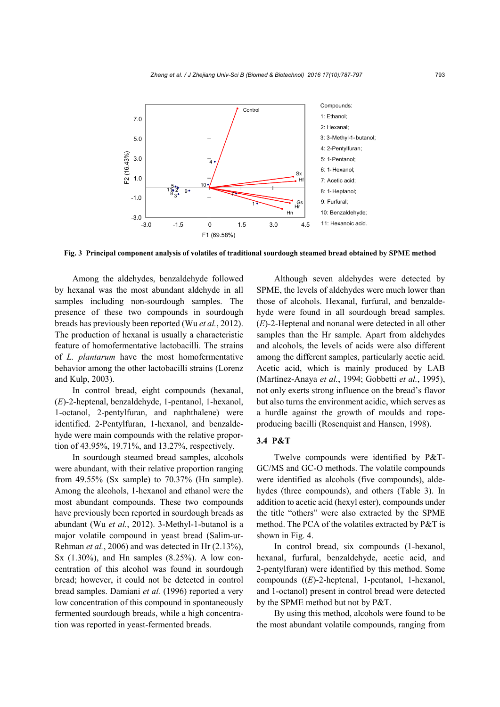*Zhang et al. / J Zhejiang Univ-Sci B (Biomed & Biotechnol) 2016 17(10):787-797* 793



**Fig. 3 Principal component analysis of volatiles of traditional sourdough steamed bread obtained by SPME method** 

Among the aldehydes, benzaldehyde followed by hexanal was the most abundant aldehyde in all samples including non-sourdough samples. The presence of these two compounds in sourdough breads has previously been reported (Wu *et al.*, 2012). The production of hexanal is usually a characteristic feature of homofermentative lactobacilli. The strains of *L. plantarum* have the most homofermentative behavior among the other lactobacilli strains (Lorenz and Kulp, 2003).

In control bread, eight compounds (hexanal, (*E*)-2-heptenal, benzaldehyde, 1-pentanol, 1-hexanol, 1-octanol, 2-pentylfuran, and naphthalene) were identified. 2-Pentylfuran, 1-hexanol, and benzaldehyde were main compounds with the relative proportion of 43.95%, 19.71%, and 13.27%, respectively.

In sourdough steamed bread samples, alcohols were abundant, with their relative proportion ranging from 49.55% (Sx sample) to 70.37% (Hn sample). Among the alcohols, 1-hexanol and ethanol were the most abundant compounds. These two compounds have previously been reported in sourdough breads as abundant (Wu *et al.*, 2012). 3-Methyl-1-butanol is a major volatile compound in yeast bread (Salim-ur-Rehman *et al.*, 2006) and was detected in Hr (2.13%), Sx (1.30%), and Hn samples (8.25%). A low concentration of this alcohol was found in sourdough bread; however, it could not be detected in control bread samples. Damiani *et al.* (1996) reported a very low concentration of this compound in spontaneously fermented sourdough breads, while a high concentration was reported in yeast-fermented breads.

Although seven aldehydes were detected by SPME, the levels of aldehydes were much lower than those of alcohols. Hexanal, furfural, and benzaldehyde were found in all sourdough bread samples. (*E*)-2-Heptenal and nonanal were detected in all other samples than the Hr sample. Apart from aldehydes and alcohols, the levels of acids were also different among the different samples, particularly acetic acid. Acetic acid, which is mainly produced by LAB (Martínez-Anaya *et al.*, 1994; Gobbetti *et al.*, 1995), not only exerts strong influence on the bread's flavor but also turns the environment acidic, which serves as a hurdle against the growth of moulds and ropeproducing bacilli (Rosenquist and Hansen, 1998).

# **3.4 P&T**

Twelve compounds were identified by P&T-GC/MS and GC-O methods. The volatile compounds were identified as alcohols (five compounds), aldehydes (three compounds), and others (Table 3). In addition to acetic acid (hexyl ester), compounds under the title "others" were also extracted by the SPME method. The PCA of the volatiles extracted by P&T is shown in Fig. 4.

In control bread, six compounds (1-hexanol, hexanal, furfural, benzaldehyde, acetic acid, and 2-pentylfuran) were identified by this method. Some compounds ((*E*)-2-heptenal, 1-pentanol, 1-hexanol, and 1-octanol) present in control bread were detected by the SPME method but not by P&T.

By using this method, alcohols were found to be the most abundant volatile compounds, ranging from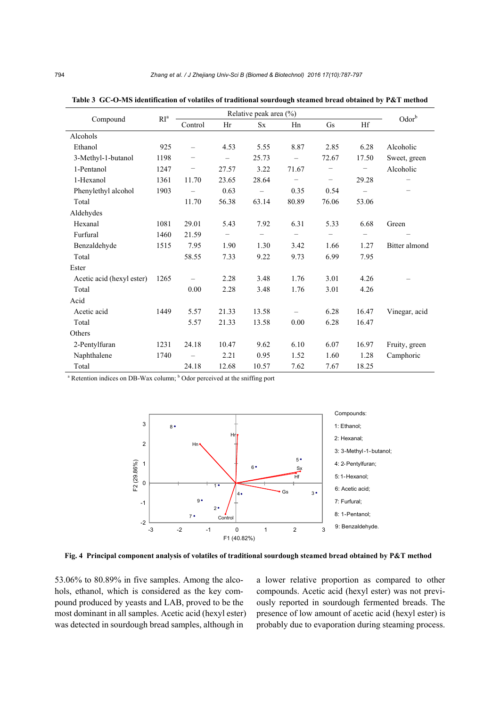| Compound                  | RI <sup>a</sup> |                          | $Odor^b$                 |                          |                          |                   |                          |               |
|---------------------------|-----------------|--------------------------|--------------------------|--------------------------|--------------------------|-------------------|--------------------------|---------------|
|                           |                 | Control                  | Hr                       | $S_{X}$                  | Hn                       | Gs                | Hf                       |               |
| Alcohols                  |                 |                          |                          |                          |                          |                   |                          |               |
| Ethanol                   | 925             |                          | 4.53                     | 5.55                     | 8.87                     | 2.85              | 6.28                     | Alcoholic     |
| 3-Methyl-1-butanol        | 1198            |                          | $\overline{\phantom{m}}$ | 25.73                    | $\overline{\phantom{m}}$ | 72.67             | 17.50                    | Sweet, green  |
| 1-Pentanol                | 1247            | $\overline{\phantom{m}}$ | 27.57                    | 3.22                     | 71.67                    | -                 | $\qquad \qquad -$        | Alcoholic     |
| 1-Hexanol                 | 1361            | 11.70                    | 23.65                    | 28.64                    | $\overline{\phantom{m}}$ | -                 | 29.28                    |               |
| Phenylethyl alcohol       | 1903            |                          | 0.63                     | $\overline{\phantom{0}}$ | 0.35                     | 0.54              | $\overline{\phantom{0}}$ |               |
| Total                     |                 | 11.70                    | 56.38                    | 63.14                    | 80.89                    | 76.06             | 53.06                    |               |
| Aldehydes                 |                 |                          |                          |                          |                          |                   |                          |               |
| Hexanal                   | 1081            | 29.01                    | 5.43                     | 7.92                     | 6.31                     | 5.33              | 6.68                     | Green         |
| Furfural                  | 1460            | 21.59                    | $\qquad \qquad -$        | $\qquad \qquad -$        | $\qquad \qquad -$        | $\qquad \qquad -$ | —                        |               |
| Benzaldehyde              | 1515            | 7.95                     | 1.90                     | 1.30                     | 3.42                     | 1.66              | 1.27                     | Bitter almond |
| Total                     |                 | 58.55                    | 7.33                     | 9.22                     | 9.73                     | 6.99              | 7.95                     |               |
| Ester                     |                 |                          |                          |                          |                          |                   |                          |               |
| Acetic acid (hexyl ester) | 1265            |                          | 2.28                     | 3.48                     | 1.76                     | 3.01              | 4.26                     |               |
| Total                     |                 | 0.00                     | 2.28                     | 3.48                     | 1.76                     | 3.01              | 4.26                     |               |
| Acid                      |                 |                          |                          |                          |                          |                   |                          |               |
| Acetic acid               | 1449            | 5.57                     | 21.33                    | 13.58                    | $\qquad \qquad -$        | 6.28              | 16.47                    | Vinegar, acid |
| Total                     |                 | 5.57                     | 21.33                    | 13.58                    | 0.00                     | 6.28              | 16.47                    |               |
| Others                    |                 |                          |                          |                          |                          |                   |                          |               |
| 2-Pentylfuran             | 1231            | 24.18                    | 10.47                    | 9.62                     | 6.10                     | 6.07              | 16.97                    | Fruity, green |
| Naphthalene               | 1740            |                          | 2.21                     | 0.95                     | 1.52                     | 1.60              | 1.28                     | Camphoric     |
| Total                     |                 | 24.18                    | 12.68                    | 10.57                    | 7.62                     | 7.67              | 18.25                    |               |

**Table 3 GC-O-MS identification of volatiles of traditional sourdough steamed bread obtained by P&T method** 

<sup>a</sup> Retention indices on DB-Wax column; <sup>b</sup> Odor perceived at the sniffing port



**Fig. 4 Principal component analysis of volatiles of traditional sourdough steamed bread obtained by P&T method** 

53.06% to 80.89% in five samples. Among the alcohols, ethanol, which is considered as the key compound produced by yeasts and LAB, proved to be the most dominant in all samples. Acetic acid (hexyl ester) was detected in sourdough bread samples, although in

a lower relative proportion as compared to other compounds. Acetic acid (hexyl ester) was not previously reported in sourdough fermented breads. The presence of low amount of acetic acid (hexyl ester) is probably due to evaporation during steaming process.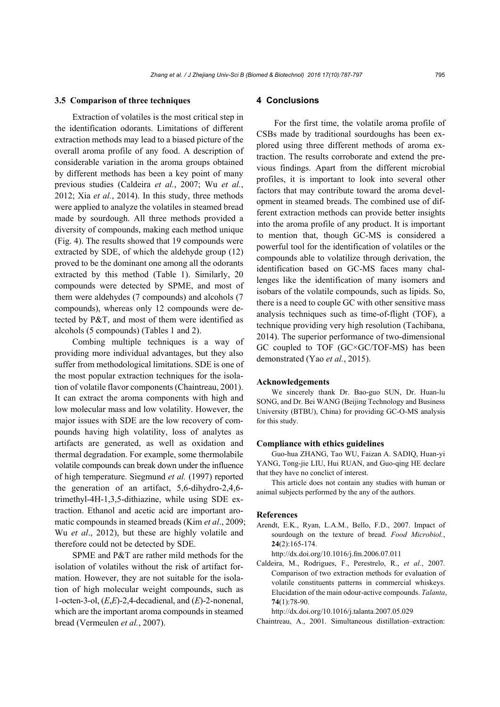#### **3.5 Comparison of three techniques**

Extraction of volatiles is the most critical step in the identification odorants. Limitations of different extraction methods may lead to a biased picture of the overall aroma profile of any food. A description of considerable variation in the aroma groups obtained by different methods has been a key point of many previous studies (Caldeira *et al.*, 2007; Wu *et al.*, 2012; Xia *et al.*, 2014). In this study, three methods were applied to analyze the volatiles in steamed bread made by sourdough. All three methods provided a diversity of compounds, making each method unique (Fig. 4). The results showed that 19 compounds were extracted by SDE, of which the aldehyde group (12) proved to be the dominant one among all the odorants extracted by this method (Table 1). Similarly, 20 compounds were detected by SPME, and most of them were aldehydes (7 compounds) and alcohols (7 compounds), whereas only 12 compounds were detected by P&T, and most of them were identified as alcohols (5 compounds) (Tables 1 and 2).

Combing multiple techniques is a way of providing more individual advantages, but they also suffer from methodological limitations. SDE is one of the most popular extraction techniques for the isolation of volatile flavor components (Chaintreau, 2001). It can extract the aroma components with high and low molecular mass and low volatility. However, the major issues with SDE are the low recovery of compounds having high volatility, loss of analytes as artifacts are generated, as well as oxidation and thermal degradation. For example, some thermolabile volatile compounds can break down under the influence of high temperature. Siegmund *et al.* (1997) reported the generation of an artifact, 5,6-dihydro-2,4,6 trimethyl-4H-1,3,5-dithiazine, while using SDE extraction. Ethanol and acetic acid are important aromatic compounds in steamed breads (Kim *et al*., 2009; Wu *et al*., 2012), but these are highly volatile and therefore could not be detected by SDE.

SPME and P&T are rather mild methods for the isolation of volatiles without the risk of artifact formation. However, they are not suitable for the isolation of high molecular weight compounds, such as 1-octen-3-ol, (*E*,*E*)-2,4-decadienal, and (*E*)-2-nonenal, which are the important aroma compounds in steamed bread (Vermeulen *et al.*, 2007).

# **4 Conclusions**

For the first time, the volatile aroma profile of CSBs made by traditional sourdoughs has been explored using three different methods of aroma extraction. The results corroborate and extend the previous findings. Apart from the different microbial profiles, it is important to look into several other factors that may contribute toward the aroma development in steamed breads. The combined use of different extraction methods can provide better insights into the aroma profile of any product. It is important to mention that, though GC-MS is considered a powerful tool for the identification of volatiles or the compounds able to volatilize through derivation, the identification based on GC-MS faces many challenges like the identification of many isomers and isobars of the volatile compounds, such as lipids. So, there is a need to couple GC with other sensitive mass analysis techniques such as time-of-flight (TOF), a technique providing very high resolution (Tachibana, 2014). The superior performance of two-dimensional GC coupled to TOF (GC×GC/TOF-MS) has been demonstrated (Yao *et al.*, 2015).

## **Acknowledgements**

We sincerely thank Dr. Bao-guo SUN, Dr. Huan-lu SONG, and Dr. Bei WANG (Beijing Technology and Business University (BTBU), China) for providing GC-O-MS analysis for this study.

#### **Compliance with ethics guidelines**

Guo-hua ZHANG, Tao WU, Faizan A. SADIQ, Huan-yi YANG, Tong-jie LIU, Hui RUAN, and Guo-qing HE declare that they have no conclict of interest.

This article does not contain any studies with human or animal subjects performed by the any of the authors.

#### **References**

Arendt, E.K., Ryan, L.A.M., Bello, F.D., 2007. Impact of sourdough on the texture of bread. *Food Microbiol.*, **24**(2):165-174.

http://dx.doi.org/10.1016/j.fm.2006.07.011

Caldeira, M., Rodrigues, F., Perestrelo, R., *et al.*, 2007. Comparison of two extraction methods for evaluation of volatile constituents patterns in commercial whiskeys. Elucidation of the main odour-active compounds. *Talanta*, **74**(1):78-90.

http://dx.doi.org/10.1016/j.talanta.2007.05.029

Chaintreau, A., 2001. Simultaneous distillation–extraction: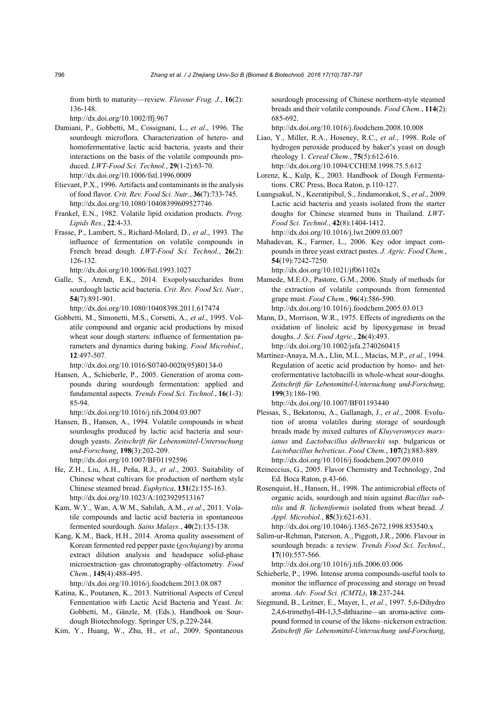from birth to maturity—review. *Flavour Frag. J.*, **16**(2): 136-148.

http://dx.doi.org/10.1002/ffj.967

- Damiani, P., Gobbetti, M., Cossignani, L., *et al*., 1996. The sourdough microflora. Characterization of hetero- and homofermentative lactic acid bacteria, yeasts and their interactions on the basis of the volatile compounds produced. *LWT-Food Sci. Technol.*, **29**(1-2):63-70. http://dx.doi.org/10.1006/fstl.1996.0009
- Etievant, P.X., 1996. Artifacts and contaminants in the analysis of food flavor. *Crit. Rev. Food Sci. Nutr.*, **36**(7):733-745. http://dx.doi.org/10.1080/10408399609527746
- Frankel, E.N., 1982. Volatile lipid oxidation products. *Prog. Lipids Res.*, **22**:4-33.
- Frasse, P., Lambert, S., Richard-Molard, D., *et al*., 1993. The influence of fermentation on volatile compounds in French bread dough. *LWT-Food Sci. Technol.*, **26**(2): 126-132.

http://dx.doi.org/10.1006/fstl.1993.1027

Galle, S., Arendt, E.K., 2014. Exopolysaccharides from sourdough lactic acid bacteria. *Crit. Rev. Food Sci. Nutr.*, **54**(7):891-901.

http://dx.doi.org/10.1080/10408398.2011.617474

Gobbetti, M., Simonetti, M.S., Corsetti, A., *et al*., 1995. Volatile compound and organic acid productions by mixed wheat sour dough starters: influence of fermentation parameters and dynamics during baking. *Food Microbiol.*, **12**:497-507.

http://dx.doi.org/10.1016/S0740-0020(95)80134-0

Hansen, A., Schieberle, P., 2005. Generation of aroma compounds during sourdough fermentation: applied and fundamental aspects. *Trends Food Sci. Technol.*, **16**(1-3): 85-94.

http://dx.doi.org/10.1016/j.tifs.2004.03.007

- Hansen, B., Hansen, A., 1994. Volatile compounds in wheat sourdoughs produced by lactic acid bacteria and sourdough yeasts. *Zeitschrift für Lebensmittel-Untersuchung und-Forschung*, **198**(3):202-209. http://dx.doi.org/10.1007/BF01192596
- He, Z.H., Liu, A.H., Peña, R.J., *et al*., 2003. Suitability of Chinese wheat cultivars for production of northern style Chinese steamed bread. *Euphytica*, **131**(2):155-163. http://dx.doi.org/10.1023/A:1023929513167
- Kam, W.Y., Wan, A.W.M., Sahilah, A.M., *et al*., 2011. Volatile compounds and lactic acid bacteria in spontaneous fermented sourdough. *Sains Malays.*, **40**(2):135-138.
- Kang, K.M., Baek, H.H., 2014. Aroma quality assessment of Korean fermented red pepper paste (*gochujang*) by aroma extract dilution analysis and headspace solid-phase microextraction–gas chromatography–olfactometry. *Food Chem.*, **145**(4):488-495.

http://dx.doi.org/10.1016/j.foodchem.2013.08.087

Katina, K., Poutanen, K., 2013. Nutritional Aspects of Cereal Fermentation with Lactic Acid Bacteria and Yeast. *In*: Gobbetti, M., Gänzle, M. (Eds.), Handbook on Sourdough Biotechnology. Springer US, p.229-244.

Kim, Y., Huang, W., Zhu, H., *et al*., 2009. Spontaneous

sourdough processing of Chinese northern-style steamed breads and their volatile compounds. *Food Chem.*, **114**(2): 685-692.

http://dx.doi.org/10.1016/j.foodchem.2008.10.008

- Liao, Y., Miller, R.A., Hoseney, R.C., *et al*., 1998. Role of hydrogen peroxide produced by baker's yeast on dough rheology 1. *Cereal Chem.*, **75**(5):612-616. http://dx.doi.org/10.1094/CCHEM.1998.75.5.612
- Lorenz, K., Kulp, K., 2003. Handbook of Dough Fermentations. CRC Press, Boca Raton, p.110-127.
- Luangsakul, N., Keeratipibul, S., Jindamorakot, S., *et al*., 2009. Lactic acid bacteria and yeasts isolated from the starter doughs for Chinese steamed buns in Thailand. *LWT-Food Sci. Technol.*, **42**(8):1404-1412. http://dx.doi.org/10.1016/j.lwt.2009.03.007
- Mahadevan, K., Farmer, L., 2006. Key odor impact compounds in three yeast extract pastes. *J. Agric. Food Chem.*, **54**(19):7242-7250. http://dx.doi.org/10.1021/jf061102x
- Mamede, M.E.O., Pastore, G.M., 2006. Study of methods for the extraction of volatile compounds from fermented grape must. *Food Chem.*, **96**(4):586-590. http://dx.doi.org/10.1016/j.foodchem.2005.03.013
- Mann, D., Morrison, W.R., 1975. Effects of ingredients on the oxidation of linoleic acid by lipoxygenase in bread doughs. *J. Sci. Food Agric.*, **26**(4):493. http://dx.doi.org/10.1002/jsfa.2740260415
- Martínez-Anaya, M.A., Llin, M.L., Macías, M.P., *et al*., 1994. Regulation of acetic acid production by homo- and heterofermentative lactobacilli in whole-wheat sour-doughs. *Zeitschrift für Lebensmittel-Untersuchung und-Forschung*, **199**(3):186-190.

http://dx.doi.org/10.1007/BF01193440

- Plessas, S., Bekatorou, A., Gallanagh, J., *et al*., 2008. Evolution of aroma volatiles during storage of sourdough breads made by mixed cultures of *Kluyveromyces marxianus* and *Lactobacillus delbrueckii* ssp. bulgaricus or *Lactobacillus helveticus*. *Food Chem.*, **107**(2):883-889. http://dx.doi.org/10.1016/j.foodchem.2007.09.010
- Reineccius, G., 2005. Flavor Chemistry and Technology, 2nd Ed. Boca Raton, p.43-66.
- Rosenquist, H., Hansen, H., 1998. The antimicrobial effects of organic acids, sourdough and nisin against *Bacillus subtilis* and *B. licheniformis* isolated from wheat bread. *J. Appl. Microbiol.*, **85**(3):621-631.

http://dx.doi.org/10.1046/j.1365-2672.1998.853540.x

Salim-ur-Rehman, Paterson, A., Piggott, J.R., 2006. Flavour in sourdough breads: a review. *Trends Food Sci. Technol*., **17**(10):557-566.

http://dx.doi.org/10.1016/j.tifs.2006.03.006

- Schieberle, P., 1996. Intense aroma compounds-useful tools to monitor the influence of processing and storage on bread aroma. *Adv. Food Sci. (CMTL)*, **18**:237-244.
- Siegmund, B., Leitner, E., Mayer, I., *et al.*, 1997. 5,6-Dihydro 2,4,6-trimethyl-4H-1,3,5-dithiazine—an aroma-active compound formed in course of the likens–nickerson extraction. *Zeitschrift für Lebensmittel-Untersuchung und-Forschung*,